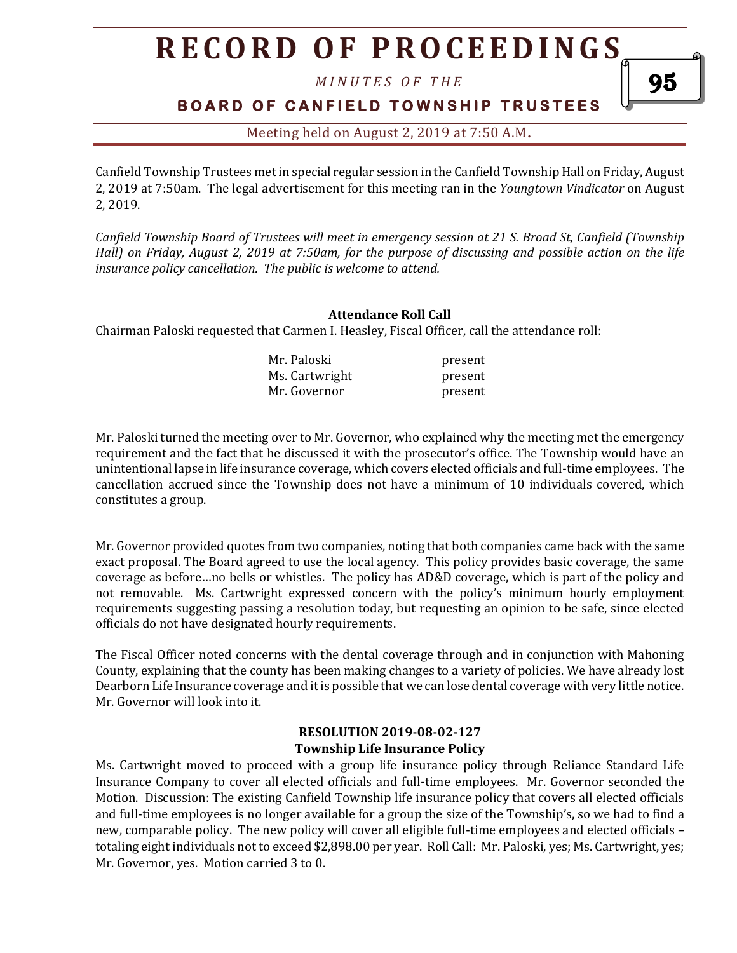# **R E C O R D O F P R O C E E D I N GS**

*M I N U T E S O F T H E* 

### **BOARD OF CANFIELD TOWNSHIP TRUSTEES**

95

Meeting held on August 2, 2019 at 7:50 A.M**.**

Canfield Township Trustees met in special regular session in the Canfield Township Hall on Friday, August 2, 2019 at 7:50am. The legal advertisement for this meeting ran in the *Youngtown Vindicator* on August 2, 2019.

*Canfield Township Board of Trustees will meet in emergency session at 21 S. Broad St, Canfield (Township Hall) on Friday, August 2, 2019 at 7:50am, for the purpose of discussing and possible action on the life insurance policy cancellation. The public is welcome to attend.*

#### **Attendance Roll Call**

Chairman Paloski requested that Carmen I. Heasley, Fiscal Officer, call the attendance roll:

| Mr. Paloski    | present |
|----------------|---------|
| Ms. Cartwright | present |
| Mr. Governor   | present |

Mr. Paloski turned the meeting over to Mr. Governor, who explained why the meeting met the emergency requirement and the fact that he discussed it with the prosecutor's office. The Township would have an unintentional lapse in life insurance coverage, which covers elected officials and full-time employees. The cancellation accrued since the Township does not have a minimum of 10 individuals covered, which constitutes a group.

Mr. Governor provided quotes from two companies, noting that both companies came back with the same exact proposal. The Board agreed to use the local agency. This policy provides basic coverage, the same coverage as before…no bells or whistles. The policy has AD&D coverage, which is part of the policy and not removable. Ms. Cartwright expressed concern with the policy's minimum hourly employment requirements suggesting passing a resolution today, but requesting an opinion to be safe, since elected officials do not have designated hourly requirements.

The Fiscal Officer noted concerns with the dental coverage through and in conjunction with Mahoning County, explaining that the county has been making changes to a variety of policies. We have already lost Dearborn Life Insurance coverage and it is possible that we can lose dental coverage with very little notice. Mr. Governor will look into it.

#### **RESOLUTION 2019-08-02-127 Township Life Insurance Policy**

Ms. Cartwright moved to proceed with a group life insurance policy through Reliance Standard Life Insurance Company to cover all elected officials and full-time employees. Mr. Governor seconded the Motion. Discussion: The existing Canfield Township life insurance policy that covers all elected officials and full-time employees is no longer available for a group the size of the Township's, so we had to find a new, comparable policy. The new policy will cover all eligible full-time employees and elected officials – totaling eight individuals not to exceed \$2,898.00 per year. Roll Call: Mr. Paloski, yes; Ms. Cartwright, yes; Mr. Governor, yes. Motion carried 3 to 0.